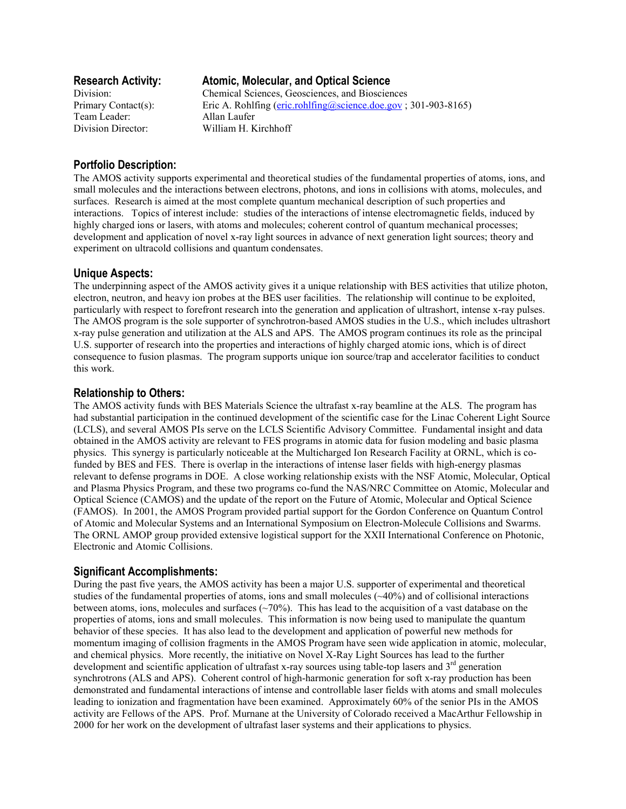Team Leader: Allan Laufer

# **Research Activity: Atomic, Molecular, and Optical Science**

Division: Chemical Sciences, Geosciences, and Biosciences Primary Contact(s): Eric A. Rohlfing (eric.rohlfing@science.doe.gov; 301-903-8165) Division Director: William H. Kirchhoff

# **Portfolio Description:**

The AMOS activity supports experimental and theoretical studies of the fundamental properties of atoms, ions, and small molecules and the interactions between electrons, photons, and ions in collisions with atoms, molecules, and surfaces. Research is aimed at the most complete quantum mechanical description of such properties and interactions. Topics of interest include: studies of the interactions of intense electromagnetic fields, induced by highly charged ions or lasers, with atoms and molecules; coherent control of quantum mechanical processes; development and application of novel x-ray light sources in advance of next generation light sources; theory and experiment on ultracold collisions and quantum condensates.

### **Unique Aspects:**

The underpinning aspect of the AMOS activity gives it a unique relationship with BES activities that utilize photon, electron, neutron, and heavy ion probes at the BES user facilities. The relationship will continue to be exploited, particularly with respect to forefront research into the generation and application of ultrashort, intense x-ray pulses. The AMOS program is the sole supporter of synchrotron-based AMOS studies in the U.S., which includes ultrashort x-ray pulse generation and utilization at the ALS and APS. The AMOS program continues its role as the principal U.S. supporter of research into the properties and interactions of highly charged atomic ions, which is of direct consequence to fusion plasmas. The program supports unique ion source/trap and accelerator facilities to conduct this work.

## **Relationship to Others:**

The AMOS activity funds with BES Materials Science the ultrafast x-ray beamline at the ALS. The program has had substantial participation in the continued development of the scientific case for the Linac Coherent Light Source (LCLS), and several AMOS PIs serve on the LCLS Scientific Advisory Committee. Fundamental insight and data obtained in the AMOS activity are relevant to FES programs in atomic data for fusion modeling and basic plasma physics. This synergy is particularly noticeable at the Multicharged Ion Research Facility at ORNL, which is cofunded by BES and FES. There is overlap in the interactions of intense laser fields with high-energy plasmas relevant to defense programs in DOE. A close working relationship exists with the NSF Atomic, Molecular, Optical and Plasma Physics Program, and these two programs co-fund the NAS/NRC Committee on Atomic, Molecular and Optical Science (CAMOS) and the update of the report on the Future of Atomic, Molecular and Optical Science (FAMOS). In 2001, the AMOS Program provided partial support for the Gordon Conference on Quantum Control of Atomic and Molecular Systems and an International Symposium on Electron-Molecule Collisions and Swarms. The ORNL AMOP group provided extensive logistical support for the XXII International Conference on Photonic, Electronic and Atomic Collisions.

## **Significant Accomplishments:**

During the past five years, the AMOS activity has been a major U.S. supporter of experimental and theoretical studies of the fundamental properties of atoms, ions and small molecules (~40%) and of collisional interactions between atoms, ions, molecules and surfaces  $(\sim 70\%)$ . This has lead to the acquisition of a vast database on the properties of atoms, ions and small molecules. This information is now being used to manipulate the quantum behavior of these species. It has also lead to the development and application of powerful new methods for momentum imaging of collision fragments in the AMOS Program have seen wide application in atomic, molecular, and chemical physics. More recently, the initiative on Novel X-Ray Light Sources has lead to the further development and scientific application of ultrafast x-ray sources using table-top lasers and  $3<sup>rd</sup>$  generation synchrotrons (ALS and APS). Coherent control of high-harmonic generation for soft x-ray production has been demonstrated and fundamental interactions of intense and controllable laser fields with atoms and small molecules leading to ionization and fragmentation have been examined. Approximately 60% of the senior PIs in the AMOS activity are Fellows of the APS. Prof. Murnane at the University of Colorado received a MacArthur Fellowship in 2000 for her work on the development of ultrafast laser systems and their applications to physics.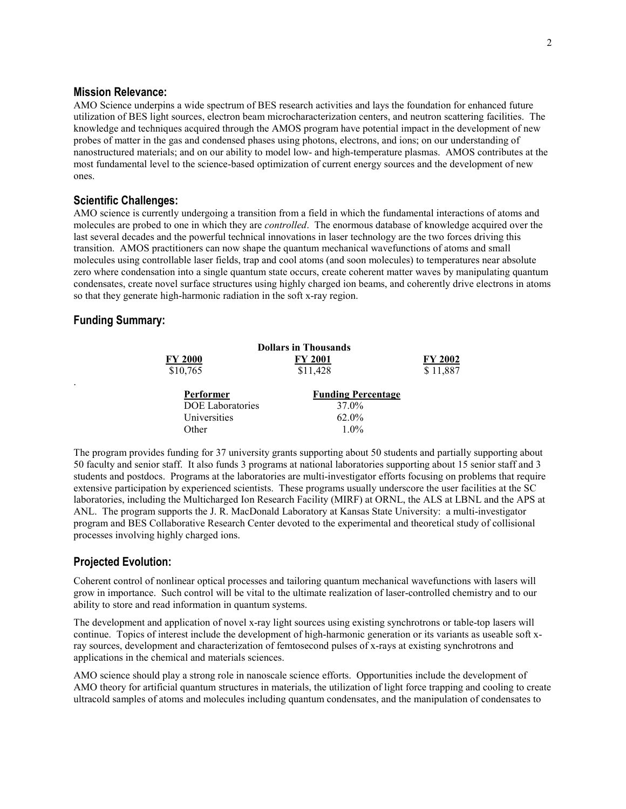### **Mission Relevance:**

AMO Science underpins a wide spectrum of BES research activities and lays the foundation for enhanced future utilization of BES light sources, electron beam microcharacterization centers, and neutron scattering facilities. The knowledge and techniques acquired through the AMOS program have potential impact in the development of new probes of matter in the gas and condensed phases using photons, electrons, and ions; on our understanding of nanostructured materials; and on our ability to model low- and high-temperature plasmas. AMOS contributes at the most fundamental level to the science-based optimization of current energy sources and the development of new ones.

#### **Scientific Challenges:**

AMO science is currently undergoing a transition from a field in which the fundamental interactions of atoms and molecules are probed to one in which they are *controlled*. The enormous database of knowledge acquired over the last several decades and the powerful technical innovations in laser technology are the two forces driving this transition. AMOS practitioners can now shape the quantum mechanical wavefunctions of atoms and small molecules using controllable laser fields, trap and cool atoms (and soon molecules) to temperatures near absolute zero where condensation into a single quantum state occurs, create coherent matter waves by manipulating quantum condensates, create novel surface structures using highly charged ion beams, and coherently drive electrons in atoms so that they generate high-harmonic radiation in the soft x-ray region.

### **Funding Summary:**

.

| <b>Dollars in Thousands</b> |                           |                |
|-----------------------------|---------------------------|----------------|
| FY 2000                     | <b>FY 2001</b>            | <b>FY 2002</b> |
| \$10,765                    | \$11,428                  | \$11,887       |
| Performer                   | <b>Funding Percentage</b> |                |
| <b>DOE</b> Laboratories     | 37.0%                     |                |
| Universities                | $62.0\%$                  |                |
| Other                       | $1.0\%$                   |                |

The program provides funding for 37 university grants supporting about 50 students and partially supporting about 50 faculty and senior staff. It also funds 3 programs at national laboratories supporting about 15 senior staff and 3 students and postdocs. Programs at the laboratories are multi-investigator efforts focusing on problems that require extensive participation by experienced scientists. These programs usually underscore the user facilities at the SC laboratories, including the Multicharged Ion Research Facility (MIRF) at ORNL, the ALS at LBNL and the APS at ANL. The program supports the J. R. MacDonald Laboratory at Kansas State University: a multi-investigator program and BES Collaborative Research Center devoted to the experimental and theoretical study of collisional processes involving highly charged ions.

#### **Projected Evolution:**

Coherent control of nonlinear optical processes and tailoring quantum mechanical wavefunctions with lasers will grow in importance. Such control will be vital to the ultimate realization of laser-controlled chemistry and to our ability to store and read information in quantum systems.

The development and application of novel x-ray light sources using existing synchrotrons or table-top lasers will continue. Topics of interest include the development of high-harmonic generation or its variants as useable soft xray sources, development and characterization of femtosecond pulses of x-rays at existing synchrotrons and applications in the chemical and materials sciences.

AMO science should play a strong role in nanoscale science efforts. Opportunities include the development of AMO theory for artificial quantum structures in materials, the utilization of light force trapping and cooling to create ultracold samples of atoms and molecules including quantum condensates, and the manipulation of condensates to